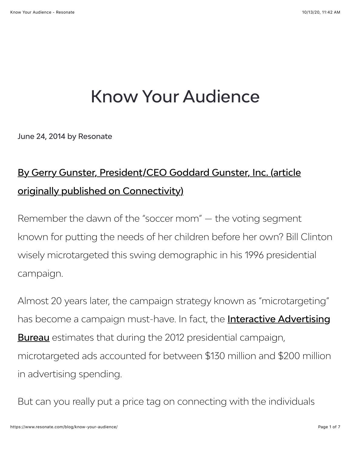# Know Your Audience

June 24, 2014 by Resonate

## [By Gerry Gunster, President/CEO Goddard Gunster, Inc. \(article](https://connectivity.cqrollcall.com/know-your-audience-2/) originally published on Connectivity)

Remember the dawn of the "soccer mom" — the voting segment known for putting the needs of her children before her own? Bill Clinton wisely microtargeted this swing demographic in his 1996 presidential campaign.

Almost 20 years later, the campaign strategy known as "microtargeting" has become a campaign must-have. In fact, the **Interactive Advertising Bureau** [estimates that during the 2012 presidential campaign,](https://www.iab.net/) microtargeted ads accounted for between \$130 million and \$200 million in advertising spending.

But can you really put a price tag on connecting with the individuals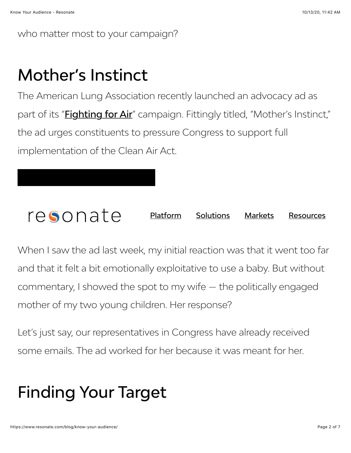who matter most to your campaign?

## Mother's Instinct

The American Lung Association recently launched an advocacy ad as part of its "**[Fighting for Air](https://fightingforair.org/)**" campaign. Fittingly titled, "Mother's Instinct," the ad urges constituents to pressure Congress to support full implementation of the Clean Air Act.



When I saw the ad last week, my initial reaction was that it went too far and that it felt a bit emotionally exploitative to use a baby. But without commentary, I showed the spot to my wife — the politically engaged mother of my two young children. Her response?

Let's just say, our representatives in Congress have already received some emails. The ad worked for her because it was meant for her.

# Finding Your Target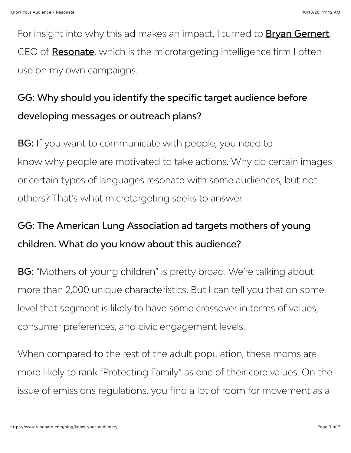For insight into why this ad makes an impact, I turned to **[Bryan Gernert](https://www.resonateinsights.com/about-us-5NT-2703JD.html)**, CEO of **[Resonate](https://www.resonateinsights.com/)**, which is the microtargeting intelligence firm I often use on my own campaigns.

## GG: Why should you identify the specific target audience before developing messages or outreach plans?

**BG:** If you want to communicate with people, you need to know why people are motivated to take actions. Why do certain images or certain types of languages resonate with some audiences, but not others? That's what microtargeting seeks to answer.

## GG: The American Lung Association ad targets mothers of young children. What do you know about this audience?

**BG:** "Mothers of young children" is pretty broad. We're talking about more than 2,000 unique characteristics. But I can tell you that on some level that segment is likely to have some crossover in terms of values, consumer preferences, and civic engagement levels.

When compared to the rest of the adult population, these moms are more likely to rank "Protecting Family" as one of their core values. On the issue of emissions regulations, you find a lot of room for movement as a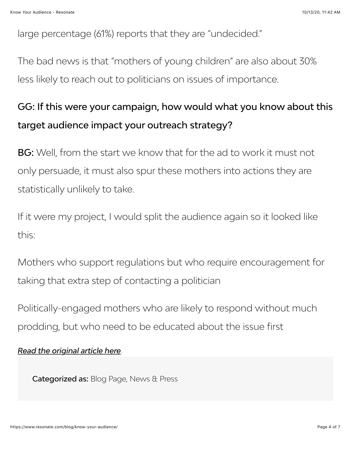large percentage (61%) reports that they are "undecided."

The bad news is that "mothers of young children" are also about 30% less likely to reach out to politicians on issues of importance.

#### GG: If this were your campaign, how would what you know about this target audience impact your outreach strategy?

BG: Well, from the start we know that for the ad to work it must not only persuade, it must also spur these mothers into actions they are statistically unlikely to take.

If it were my project, I would split the audience again so it looked like this:

Mothers who support regulations but who require encouragement for taking that extra step of contacting a politician

Politically-engaged mothers who are likely to respond without much prodding, but who need to be educated about the issue first

#### *[Read the original article here](https://connectivity.cqrollcall.com/know-your-audience-2/)*.

Categorized as: [Blog Page](https://www.resonate.com/blog/category/blog-page/), [News & Press](https://www.resonate.com/blog/category/news/)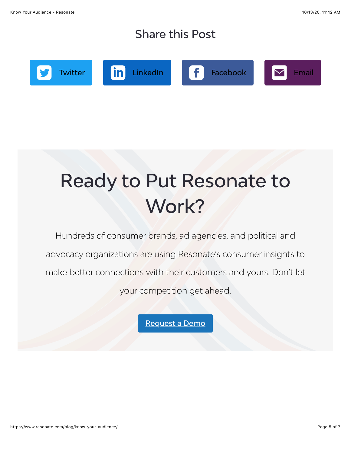#### Share this Post



# Ready to Put Resonate to Work?

Hundreds of consumer brands, ad agencies, and political and advocacy organizations are using Resonate's consumer insights to make better connections with their customers and yours. Don't let

your competition get ahead.

[Request a Demo](https://www.resonate.com/request-demo)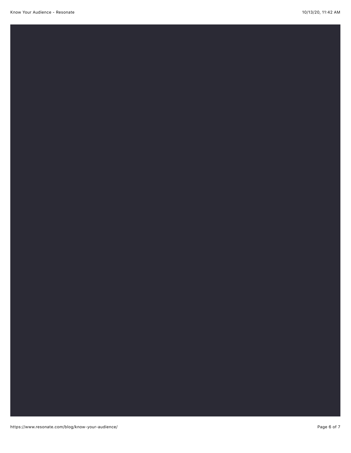https://www.resonate.com/blog/know-your-audience/ Page 6 of 7